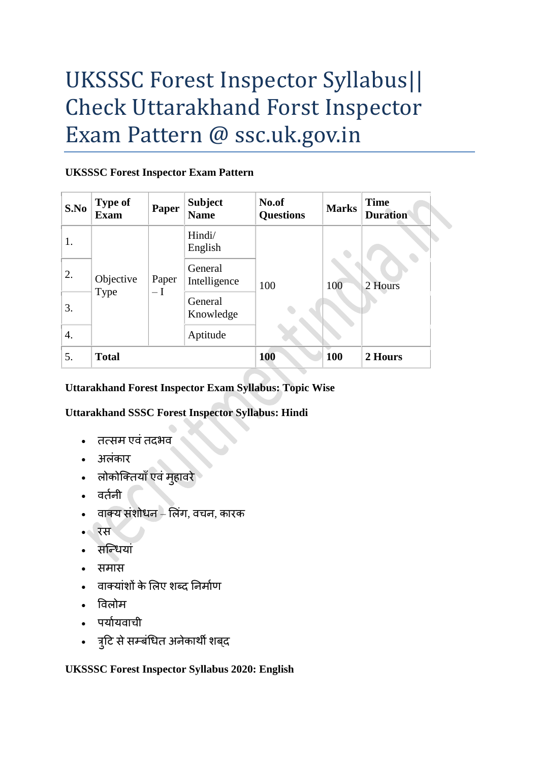# UKSSSC Forest Inspector Syllabus|| Check Uttarakhand Forst Inspector Exam Pattern @ ssc.uk.gov.in

### **UKSSSC Forest Inspector Exam Pattern**

| S.No | <b>Type of</b><br><b>Exam</b> | Paper              | <b>Subject</b><br><b>Name</b> | No.of<br><b>Questions</b> | <b>Marks</b> | <b>Time</b><br><b>Duration</b> |
|------|-------------------------------|--------------------|-------------------------------|---------------------------|--------------|--------------------------------|
| 1.   | Objective<br>Type             | Paper<br>$-\Gamma$ | Hindi/<br>English             | 100                       | 100          | 2 Hours                        |
| 2.   |                               |                    | General<br>Intelligence       |                           |              |                                |
| 3.   |                               |                    | General<br>Knowledge          |                           |              |                                |
| 4.   |                               |                    | Aptitude                      |                           |              |                                |
| 5.   | <b>Total</b>                  |                    |                               | <b>100</b>                | 100          | 2 Hours                        |

## **Uttarakhand Forest Inspector Exam Syllabus: Topic Wise**

## **Uttarakhand SSSC Forest Inspector Syllabus: Hindi**

- तत्सम एवंतदभव
- अलंकार
- लोकोक्तियाँ एवं मुहावरे
- वर्तनी
- वाक्य संशोधन लिंग, वचन, कारक
- रस
- सक्धधयां
- समास
- वाक्यांशों के लिए शब्द निर्माण
- विलोम
- पर्यायवाची
- त्रटुि सेसम्बंधधत अनेकाथी शबद्

**UKSSSC Forest Inspector Syllabus 2020: English**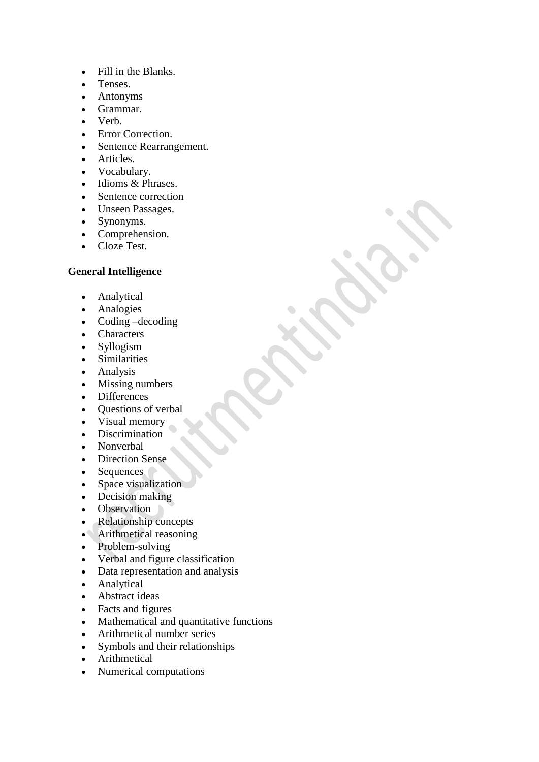- Fill in the Blanks.
- Tenses.
- Antonyms
- Grammar.
- Verb.
- Error Correction.
- Sentence Rearrangement.
- Articles.
- Vocabulary.
- Idioms & Phrases.
- Sentence correction
- Unseen Passages.
- Synonyms.
- Comprehension.
- Cloze Test.

#### **General Intelligence**

- Analytical
- Analogies
- Coding –decoding
- Characters
- Syllogism
- Similarities
- Analysis
- Missing numbers
- Differences
- Ouestions of verbal
- Visual memory
- Discrimination
- Nonverbal
- Direction Sense
- Sequences
- Space visualization
- Decision making
- Observation
- Relationship concepts
- Arithmetical reasoning
- Problem-solving
- Verbal and figure classification
- Data representation and analysis
- Analytical
- Abstract ideas
- Facts and figures
- Mathematical and quantitative functions
- Arithmetical number series
- Symbols and their relationships
- Arithmetical
- Numerical computations